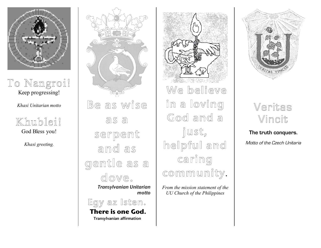

To Nangroi!

*Khasi Unitarian motto*

Khublei!<br>God Bless you!

*Khasi greeting.*





*From the mission statement of the UU Church of the Philippines*



## Veritas Vincit

**The truth conquers.**

Motto of the Czech Unitaria